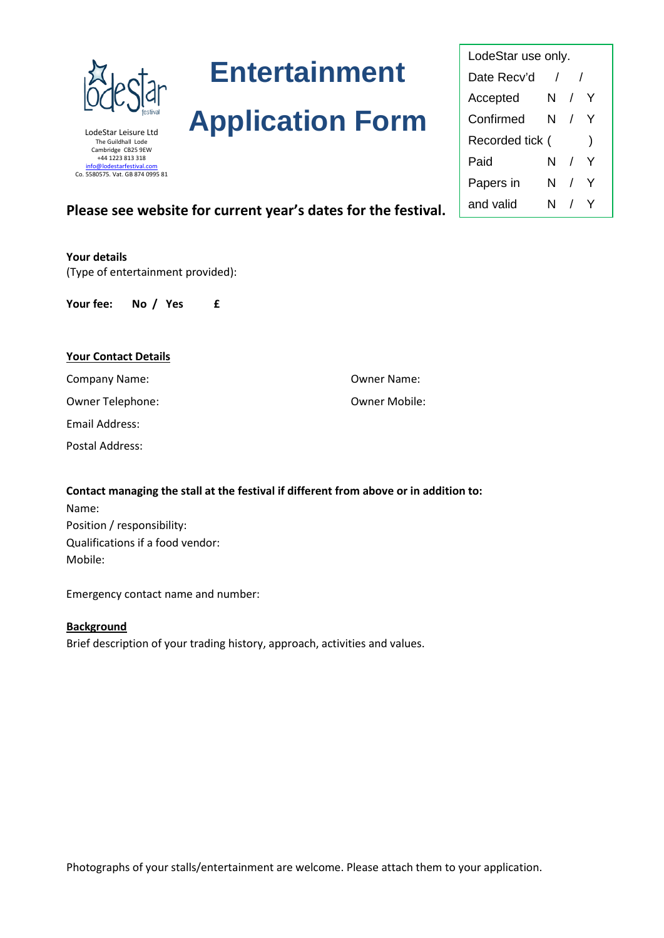

LodeStar Leisure Ltd The Guildhall Lode Cambridge CB25 9EW +44 1223 813 318 [info@lodestarfestival.com](mailto:info@lodestarfestival.com) Co. 5580575. Vat. GB 874 0995 81 **Entertainment** 

# **Application Form**

LodeStar use only. Date Recv'd / / Accepted N / Y Confirmed N / Y Recorded tick () Paid N / Y Papers in N / Y

# **Please see website for current year's dates for the festival.**  $\begin{array}{|c|c|c|c|c|}\n\hline\n\text{and valid} & \text{N} & / & \text{Y}\n\end{array}$

**Your details** (Type of entertainment provided):

**Your fee: No / Yes £**

# **Your Contact Details**

Email Address:

Postal Address:

**Contact managing the stall at the festival if different from above or in addition to:** Name: Position / responsibility: Qualifications if a food vendor: Mobile:

Emergency contact name and number:

# **Background**

Brief description of your trading history, approach, activities and values.

Photographs of your stalls/entertainment are welcome. Please attach them to your application.

Company Name: Owner Name:

# Owner Telephone: Owner Mobile: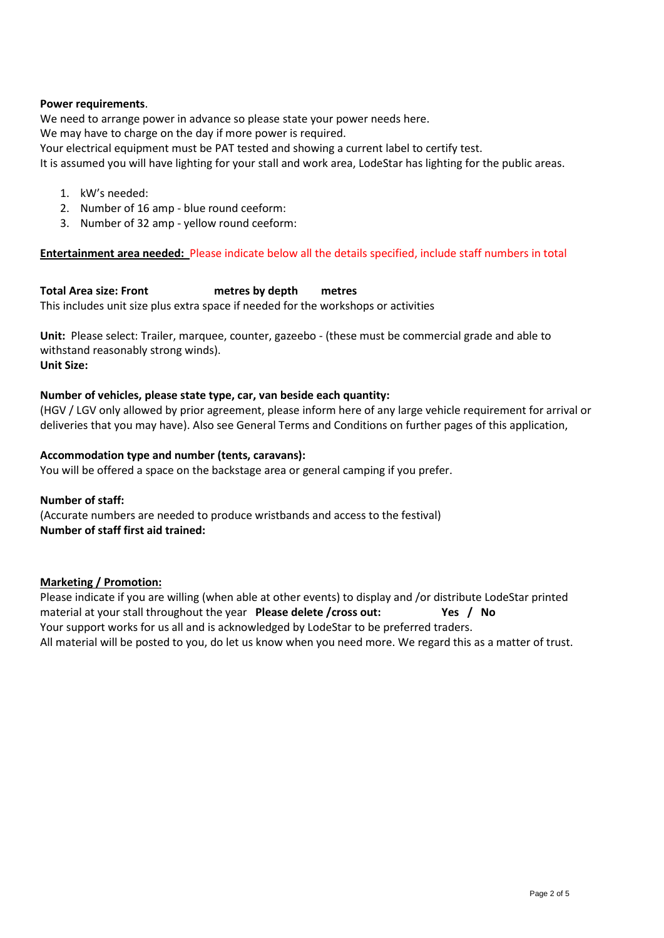# **Power requirements**.

We need to arrange power in advance so please state your power needs here.

We may have to charge on the day if more power is required.

Your electrical equipment must be PAT tested and showing a current label to certify test.

It is assumed you will have lighting for your stall and work area, LodeStar has lighting for the public areas.

- 1. kW's needed:
- 2. Number of 16 amp blue round ceeform:
- 3. Number of 32 amp yellow round ceeform:

# **Entertainment area needed:** Please indicate below all the details specified, include staff numbers in total

**Total Area size: Front metres by depth metres** This includes unit size plus extra space if needed for the workshops or activities

**Unit:** Please select: Trailer, marquee, counter, gazeebo - (these must be commercial grade and able to withstand reasonably strong winds). **Unit Size:**

# **Number of vehicles, please state type, car, van beside each quantity:**

(HGV / LGV only allowed by prior agreement, please inform here of any large vehicle requirement for arrival or deliveries that you may have). Also see General Terms and Conditions on further pages of this application,

# **Accommodation type and number (tents, caravans):**

You will be offered a space on the backstage area or general camping if you prefer.

# **Number of staff:**  (Accurate numbers are needed to produce wristbands and access to the festival) **Number of staff first aid trained:**

# **Marketing / Promotion:**

Please indicate if you are willing (when able at other events) to display and /or distribute LodeStar printed material at your stall throughout the year **Please delete /cross out: Yes / No** Your support works for us all and is acknowledged by LodeStar to be preferred traders. All material will be posted to you, do let us know when you need more. We regard this as a matter of trust.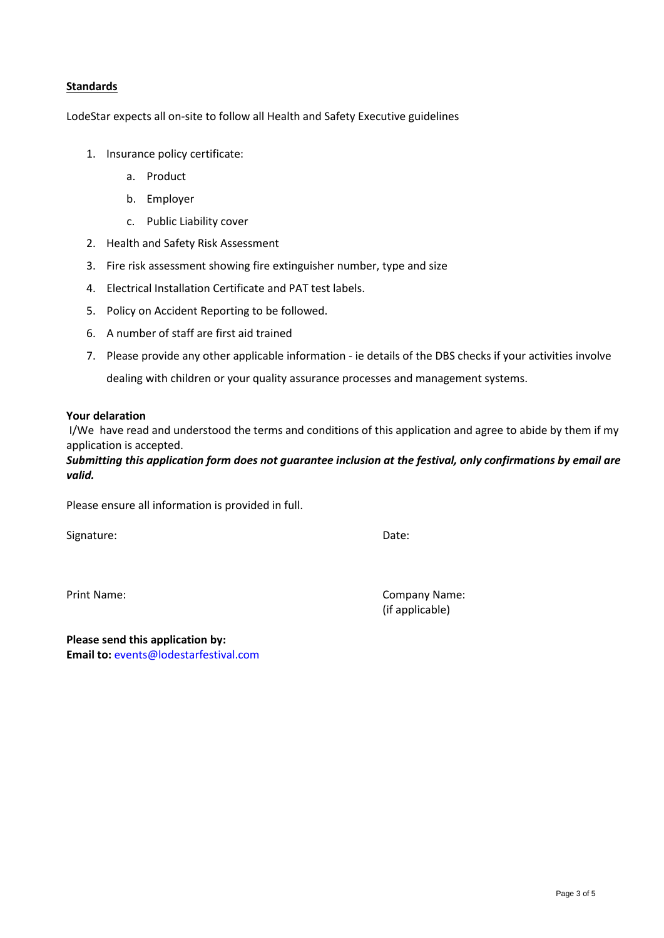# **Standards**

LodeStar expects all on-site to follow all Health and Safety Executive guidelines

- 1. Insurance policy certificate:
	- a. Product
	- b. Employer
	- c. Public Liability cover
- 2. Health and Safety Risk Assessment
- 3. Fire risk assessment showing fire extinguisher number, type and size
- 4. Electrical Installation Certificate and PAT test labels.
- 5. Policy on Accident Reporting to be followed.
- 6. A number of staff are first aid trained
- 7. Please provide any other applicable information ie details of the DBS checks if your activities involve dealing with children or your quality assurance processes and management systems.

#### **Your delaration**

I/We have read and understood the terms and conditions of this application and agree to abide by them if my application is accepted.

*Submitting this application form does not guarantee inclusion at the festival, only confirmations by email are valid.*

Please ensure all information is provided in full.

Signature: Date: Date: Date: Date: Date: Date: Date: Date: Date: Date: Date: Date: Date: Date: Date: Date: Date: Date: Date: Date: Date: Date: Date: Date: Date: Date: Date: Date: Date: Date: Date: Date: Date: Date: Date: D

Print Name: Company Name: (if applicable)

**Please send this application by: Email to:** [events@lodestarfestival.com](mailto:events@lodestarfestival.com)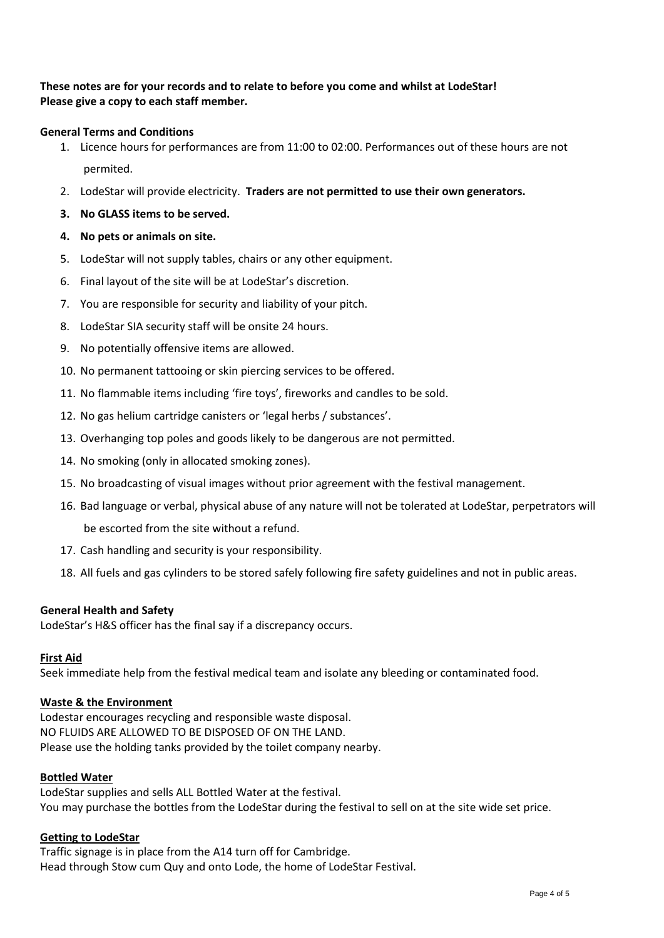# **These notes are for your records and to relate to before you come and whilst at LodeStar! Please give a copy to each staff member.**

# **General Terms and Conditions**

- 1. Licence hours for performances are from 11:00 to 02:00. Performances out of these hours are not permited.
- 2. LodeStar will provide electricity. **Traders are not permitted to use their own generators.**
- **3. No GLASS items to be served.**

# **4. No pets or animals on site.**

- 5. LodeStar will not supply tables, chairs or any other equipment.
- 6. Final layout of the site will be at LodeStar's discretion.
- 7. You are responsible for security and liability of your pitch.
- 8. LodeStar SIA security staff will be onsite 24 hours.
- 9. No potentially offensive items are allowed.
- 10. No permanent tattooing or skin piercing services to be offered.
- 11. No flammable items including 'fire toys', fireworks and candles to be sold.
- 12. No gas helium cartridge canisters or 'legal herbs / substances'.
- 13. Overhanging top poles and goods likely to be dangerous are not permitted.
- 14. No smoking (only in allocated smoking zones).
- 15. No broadcasting of visual images without prior agreement with the festival management.
- 16. Bad language or verbal, physical abuse of any nature will not be tolerated at LodeStar, perpetrators will be escorted from the site without a refund.
- 17. Cash handling and security is your responsibility.
- 18. All fuels and gas cylinders to be stored safely following fire safety guidelines and not in public areas.

# **General Health and Safety**

LodeStar's H&S officer has the final say if a discrepancy occurs.

# **First Aid**

Seek immediate help from the festival medical team and isolate any bleeding or contaminated food.

# **Waste & the Environment**

Lodestar encourages recycling and responsible waste disposal. NO FLUIDS ARE ALLOWED TO BE DISPOSED OF ON THE LAND. Please use the holding tanks provided by the toilet company nearby.

# **Bottled Water**

LodeStar supplies and sells ALL Bottled Water at the festival. You may purchase the bottles from the LodeStar during the festival to sell on at the site wide set price.

# **Getting to LodeStar**

Traffic signage is in place from the A14 turn off for Cambridge. Head through Stow cum Quy and onto Lode, the home of LodeStar Festival.